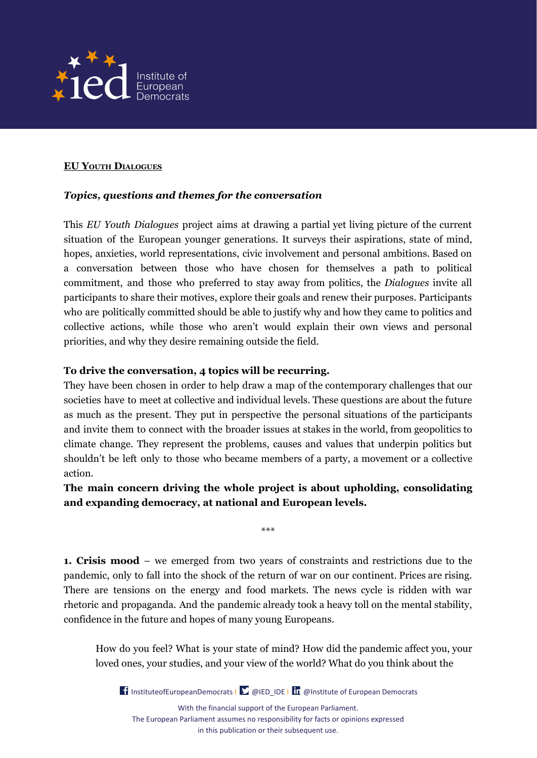

## **EU YOUTH DIALOGUES**

## *Topics, questions and themes for the conversation*

This *EU Youth Dialogues* project aims at drawing a partial yet living picture of the current situation of the European younger generations. It surveys their aspirations, state of mind, hopes, anxieties, world representations, civic involvement and personal ambitions. Based on a conversation between those who have chosen for themselves a path to political commitment, and those who preferred to stay away from politics, the *Dialogues* invite all participants to share their motives, explore their goals and renew their purposes. Participants who are politically committed should be able to justify why and how they came to politics and collective actions, while those who aren't would explain their own views and personal priorities, and why they desire remaining outside the field.

## **To drive the conversation, 4 topics will be recurring.**

They have been chosen in order to help draw a map of the contemporary challenges that our societies have to meet at collective and individual levels. These questions are about the future as much as the present. They put in perspective the personal situations of the participants and invite them to connect with the broader issues at stakes in the world, from geopolitics to climate change. They represent the problems, causes and values that underpin politics but shouldn't be left only to those who became members of a party, a movement or a collective action.

## **The main concern driving the whole project is about upholding, consolidating and expanding democracy, at national and European levels.**

\*\*\*

**1. Crisis mood** – we emerged from two years of constraints and restrictions due to the pandemic, only to fall into the shock of the return of war on our continent. Prices are rising. There are tensions on the energy and food markets. The news cycle is ridden with war rhetoric and propaganda. And the pandemic already took a heavy toll on the mental stability, confidence in the future and hopes of many young Europeans.

How do you feel? What is your state of mind? How did the pandemic affect you, your loved ones, your studies, and your view of the world? What do you think about the

**I** [InstituteofEuropeanDemocrats](https://www.facebook.com/InstituteofEuropeanDemocrats) |  $\sum$  @IED\_IDE | **In** @Institute [of European Democrats](https://www.linkedin.com/company/institute-of-european-democrats/) With the financial support of the European Parliament. The European Parliament assumes no responsibility for facts or opinions expressed in this publication or their subsequent use.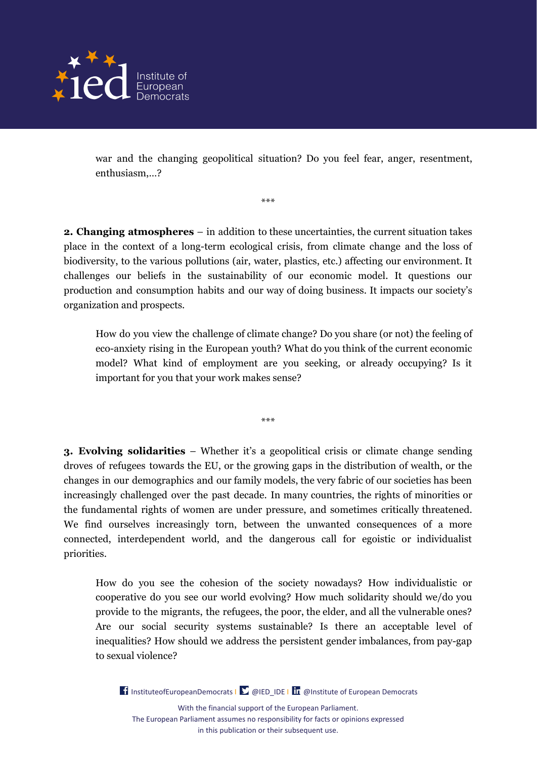

war and the changing geopolitical situation? Do you feel fear, anger, resentment, enthusiasm,…?

**2. Changing atmospheres** – in addition to these uncertainties, the current situation takes place in the context of a long-term ecological crisis, from climate change and the loss of biodiversity, to the various pollutions (air, water, plastics, etc.) affecting our environment. It challenges our beliefs in the sustainability of our economic model. It questions our production and consumption habits and our way of doing business. It impacts our society's organization and prospects.

\*\*\*

How do you view the challenge of climate change? Do you share (or not) the feeling of eco-anxiety rising in the European youth? What do you think of the current economic model? What kind of employment are you seeking, or already occupying? Is it important for you that your work makes sense?

**3. Evolving solidarities** – Whether it's a geopolitical crisis or climate change sending droves of refugees towards the EU, or the growing gaps in the distribution of wealth, or the changes in our demographics and our family models, the very fabric of our societies has been increasingly challenged over the past decade. In many countries, the rights of minorities or the fundamental rights of women are under pressure, and sometimes critically threatened. We find ourselves increasingly torn, between the unwanted consequences of a more connected, interdependent world, and the dangerous call for egoistic or individualist priorities.

\*\*\*

How do you see the cohesion of the society nowadays? How individualistic or cooperative do you see our world evolving? How much solidarity should we/do you provide to the migrants, the refugees, the poor, the elder, and all the vulnerable ones? Are our social security systems sustainable? Is there an acceptable level of inequalities? How should we address the persistent gender imbalances, from pay-gap to sexual violence?

[InstituteofEuropeanDemocrats](https://www.facebook.com/InstituteofEuropeanDemocrats) |  $\sum \omega_i$  IED\_IDE | In  $\omega$  Institute [of European Democrats](https://www.linkedin.com/company/institute-of-european-democrats/) With the financial support of the European Parliament. The European Parliament assumes no responsibility for facts or opinions expressed in this publication or their subsequent use.